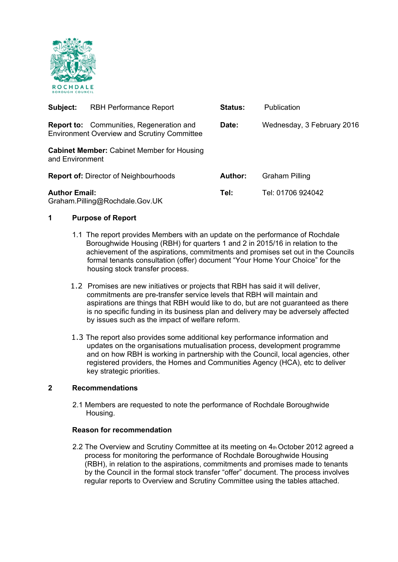

| Subject:             | <b>RBH Performance Report</b>                                                                         | <b>Status:</b> | <b>Publication</b>         |
|----------------------|-------------------------------------------------------------------------------------------------------|----------------|----------------------------|
|                      | <b>Report to:</b> Communities, Regeneration and<br><b>Environment Overview and Scrutiny Committee</b> | Date:          | Wednesday, 3 February 2016 |
| and Environment      | <b>Cabinet Member:</b> Cabinet Member for Housing                                                     |                |                            |
|                      | <b>Report of: Director of Neighbourhoods</b>                                                          | <b>Author:</b> | <b>Graham Pilling</b>      |
| <b>Author Email:</b> | Graham.Pilling@Rochdale.Gov.UK                                                                        | Tel:           | Tel: 01706 924042          |

# **1 Purpose of Report**

- 1.1 The report provides Members with an update on the performance of Rochdale Boroughwide Housing (RBH) for quarters 1 and 2 in 2015/16 in relation to the achievement of the aspirations, commitments and promises set out in the Councils formal tenants consultation (offer) document "Your Home Your Choice" for the housing stock transfer process.
- 1.2 Promises are new initiatives or projects that RBH has said it will deliver, commitments are pre-transfer service levels that RBH will maintain and aspirations are things that RBH would like to do, but are not guaranteed as there is no specific funding in its business plan and delivery may be adversely affected by issues such as the impact of welfare reform.
- 1.3 The report also provides some additional key performance information and updates on the organisations mutualisation process, development programme and on how RBH is working in partnership with the Council, local agencies, other registered providers, the Homes and Communities Agency (HCA), etc to deliver key strategic priorities.

## **2 Recommendations**

 2.1 Members are requested to note the performance of Rochdale Boroughwide Housing.

## **Reason for recommendation**

2.2 The Overview and Scrutiny Committee at its meeting on 4th October 2012 agreed a process for monitoring the performance of Rochdale Boroughwide Housing (RBH), in relation to the aspirations, commitments and promises made to tenants by the Council in the formal stock transfer "offer" document. The process involves regular reports to Overview and Scrutiny Committee using the tables attached.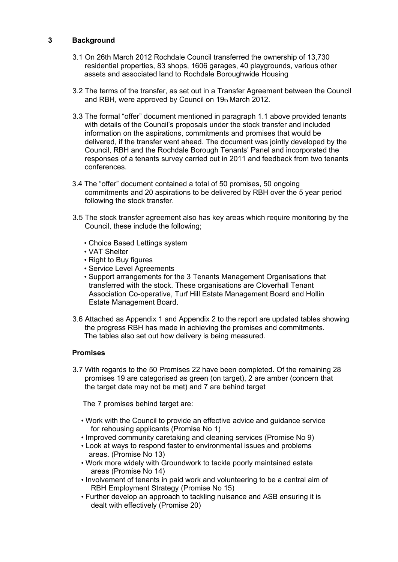# **3 Background**

- 3.1 On 26th March 2012 Rochdale Council transferred the ownership of 13,730 residential properties, 83 shops, 1606 garages, 40 playgrounds, various other assets and associated land to Rochdale Boroughwide Housing
- 3.2 The terms of the transfer, as set out in a Transfer Agreement between the Council and RBH, were approved by Council on 19th March 2012.
- 3.3 The formal "offer" document mentioned in paragraph 1.1 above provided tenants with details of the Council's proposals under the stock transfer and included information on the aspirations, commitments and promises that would be delivered, if the transfer went ahead. The document was jointly developed by the Council, RBH and the Rochdale Borough Tenants' Panel and incorporated the responses of a tenants survey carried out in 2011 and feedback from two tenants conferences.
- 3.4 The "offer" document contained a total of 50 promises, 50 ongoing commitments and 20 aspirations to be delivered by RBH over the 5 year period following the stock transfer.
- 3.5 The stock transfer agreement also has key areas which require monitoring by the Council, these include the following;
	- Choice Based Lettings system
	- VAT Shelter
	- Right to Buy figures
	- Service Level Agreements
	- Support arrangements for the 3 Tenants Management Organisations that transferred with the stock. These organisations are Cloverhall Tenant Association Co-operative, Turf Hill Estate Management Board and Hollin Estate Management Board.
- 3.6 Attached as Appendix 1 and Appendix 2 to the report are updated tables showing the progress RBH has made in achieving the promises and commitments. The tables also set out how delivery is being measured.

#### **Promises**

 3.7 With regards to the 50 Promises 22 have been completed. Of the remaining 28 promises 19 are categorised as green (on target), 2 are amber (concern that the target date may not be met) and 7 are behind target

The 7 promises behind target are:

- Work with the Council to provide an effective advice and guidance service for rehousing applicants (Promise No 1)
- Improved community caretaking and cleaning services (Promise No 9)
- Look at ways to respond faster to environmental issues and problems areas. (Promise No 13)
- Work more widely with Groundwork to tackle poorly maintained estate areas (Promise No 14)
- Involvement of tenants in paid work and volunteering to be a central aim of RBH Employment Strategy (Promise No 15)
- Further develop an approach to tackling nuisance and ASB ensuring it is dealt with effectively (Promise 20)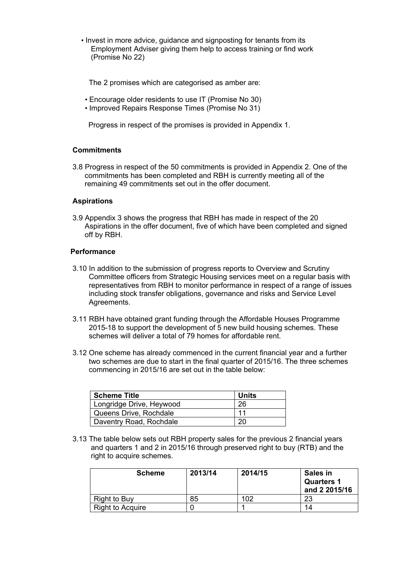• Invest in more advice, guidance and signposting for tenants from its Employment Adviser giving them help to access training or find work (Promise No 22)

The 2 promises which are categorised as amber are:

- Encourage older residents to use IT (Promise No 30)
- Improved Repairs Response Times (Promise No 31)

Progress in respect of the promises is provided in Appendix 1.

#### **Commitments**

3.8 Progress in respect of the 50 commitments is provided in Appendix 2. One of the commitments has been completed and RBH is currently meeting all of the remaining 49 commitments set out in the offer document.

### **Aspirations**

3.9 Appendix 3 shows the progress that RBH has made in respect of the 20 Aspirations in the offer document, five of which have been completed and signed off by RBH.

#### **Performance**

- 3.10 In addition to the submission of progress reports to Overview and Scrutiny Committee officers from Strategic Housing services meet on a regular basis with representatives from RBH to monitor performance in respect of a range of issues including stock transfer obligations, governance and risks and Service Level Agreements.
- 3.11 RBH have obtained grant funding through the Affordable Houses Programme 2015-18 to support the development of 5 new build housing schemes. These schemes will deliver a total of 79 homes for affordable rent.
- 3.12 One scheme has already commenced in the current financial year and a further two schemes are due to start in the final quarter of 2015/16. The three schemes commencing in 2015/16 are set out in the table below:

| Scheme Title             | <b>Units</b> |
|--------------------------|--------------|
| Longridge Drive, Heywood | 26           |
| Queens Drive, Rochdale   | 11           |
| Daventry Road, Rochdale  | 20           |

 3.13 The table below sets out RBH property sales for the previous 2 financial years and quarters 1 and 2 in 2015/16 through preserved right to buy (RTB) and the right to acquire schemes.

| <b>Scheme</b>           | 2013/14 | 2014/15 | <b>Sales in</b><br><b>Quarters 1</b><br>and 2 2015/16 |
|-------------------------|---------|---------|-------------------------------------------------------|
| Right to Buy            | 85      | 102     | 23                                                    |
| <b>Right to Acquire</b> |         |         | 14                                                    |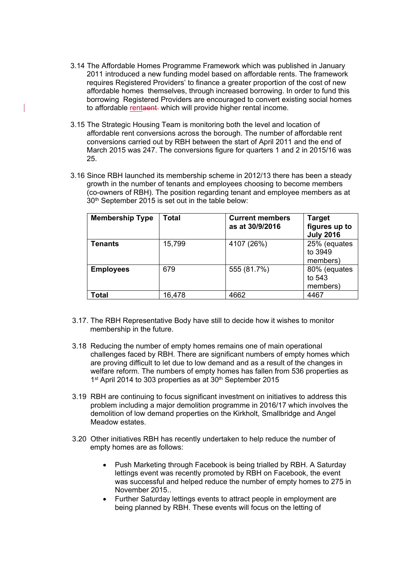- 3.14 The Affordable Homes Programme Framework which was published in January 2011 introduced a new funding model based on affordable rents. The framework requires Registered Providers' to finance a greater proportion of the cost of new affordable homes themselves, through increased borrowing. In order to fund this borrowing Registered Providers are encouraged to convert existing social homes to affordable rentaent which will provide higher rental income.
- 3.15 The Strategic Housing Team is monitoring both the level and location of affordable rent conversions across the borough. The number of affordable rent conversions carried out by RBH between the start of April 2011 and the end of March 2015 was 247. The conversions figure for quarters 1 and 2 in 2015/16 was 25.
- 3.16 Since RBH launched its membership scheme in 2012/13 there has been a steady growth in the number of tenants and employees choosing to become members (co-owners of RBH). The position regarding tenant and employee members as at 30th September 2015 is set out in the table below:

| <b>Membership Type</b> | <b>Total</b> | <b>Current members</b><br>as at 30/9/2016 | <b>Target</b><br>figures up to<br><b>July 2016</b> |
|------------------------|--------------|-------------------------------------------|----------------------------------------------------|
| <b>Tenants</b>         | 15,799       | 4107 (26%)                                | 25% (equates<br>to 3949<br>members)                |
| <b>Employees</b>       | 679          | 555 (81.7%)                               | 80% (equates<br>to 543<br>members)                 |
| Total                  | 16,478       | 4662                                      | 4467                                               |

- 3.17. The RBH Representative Body have still to decide how it wishes to monitor membership in the future.
- 3.18 Reducing the number of empty homes remains one of main operational challenges faced by RBH. There are significant numbers of empty homes which are proving difficult to let due to low demand and as a result of the changes in welfare reform. The numbers of empty homes has fallen from 536 properties as 1st April 2014 to 303 properties as at 30<sup>th</sup> September 2015
- 3.19 RBH are continuing to focus significant investment on initiatives to address this problem including a major demolition programme in 2016/17 which involves the demolition of low demand properties on the Kirkholt, Smallbridge and Angel Meadow estates.
- 3.20 Other initiatives RBH has recently undertaken to help reduce the number of empty homes are as follows:
	- Push Marketing through Facebook is being trialled by RBH. A Saturday lettings event was recently promoted by RBH on Facebook, the event was successful and helped reduce the number of empty homes to 275 in November 2015..
	- Further Saturday lettings events to attract people in employment are being planned by RBH. These events will focus on the letting of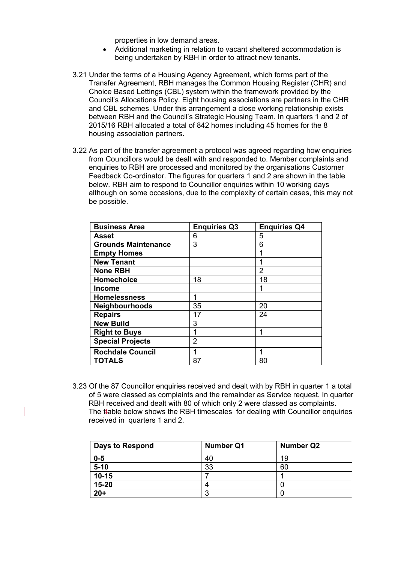properties in low demand areas.

- Additional marketing in relation to vacant sheltered accommodation is being undertaken by RBH in order to attract new tenants.
- 3.21 Under the terms of a Housing Agency Agreement, which forms part of the Transfer Agreement, RBH manages the Common Housing Register (CHR) and Choice Based Lettings (CBL) system within the framework provided by the Council's Allocations Policy. Eight housing associations are partners in the CHR and CBL schemes. Under this arrangement a close working relationship exists between RBH and the Council's Strategic Housing Team. In quarters 1 and 2 of 2015/16 RBH allocated a total of 842 homes including 45 homes for the 8 housing association partners.
- 3.22 As part of the transfer agreement a protocol was agreed regarding how enquiries from Councillors would be dealt with and responded to. Member complaints and enquiries to RBH are processed and monitored by the organisations Customer Feedback Co-ordinator. The figures for quarters 1 and 2 are shown in the table below. RBH aim to respond to Councillor enquiries within 10 working days although on some occasions, due to the complexity of certain cases, this may not be possible.

| <b>Business Area</b>       | <b>Enquiries Q3</b> | <b>Enquiries Q4</b> |
|----------------------------|---------------------|---------------------|
| <b>Asset</b>               | 6                   | 5                   |
| <b>Grounds Maintenance</b> | 3                   | 6                   |
| <b>Empty Homes</b>         |                     |                     |
| <b>New Tenant</b>          |                     | 1                   |
| <b>None RBH</b>            |                     | 2                   |
| <b>Homechoice</b>          | 18                  | 18                  |
| <b>Income</b>              |                     | 1                   |
| <b>Homelessness</b>        | 1                   |                     |
| Neighbourhoods             | 35                  | 20                  |
| <b>Repairs</b>             | 17                  | 24                  |
| <b>New Build</b>           | 3                   |                     |
| <b>Right to Buys</b>       |                     | 1                   |
| <b>Special Projects</b>    | 2                   |                     |
| <b>Rochdale Council</b>    |                     |                     |
| <b>TOTALS</b>              | 87                  | 80                  |

 3.23 Of the 87 Councillor enquiries received and dealt with by RBH in quarter 1 a total of 5 were classed as complaints and the remainder as Service request. In quarter RBH received and dealt with 80 of which only 2 were classed as complaints. The ttable below shows the RBH timescales for dealing with Councillor enquiries received in quarters 1 and 2.

| <b>Days to Respond</b> | <b>Number Q1</b> | <b>Number Q2</b> |
|------------------------|------------------|------------------|
| $0-5$                  | 40               | 19               |
| $\frac{1}{5-10}$       | 33               | 60               |
| $10 - 15$              |                  |                  |
| 15-20                  |                  |                  |
| $20+$                  | n                |                  |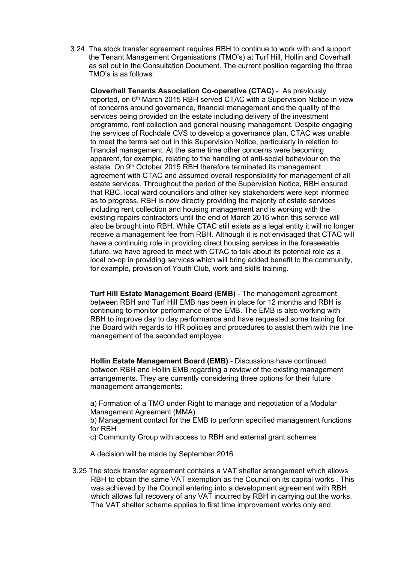3.24 The stock transfer agreement requires RBH to continue to work with and support the Tenant Management Organisations (TMO's) at Turf Hill, Hollin and Coverhall as set out in the Consultation Document. The current position regarding the three TMO's is as follows:

**Cloverhall Tenants Association Co-operative (CTAC)** - As previously reported, on 6<sup>th</sup> March 2015 RBH served CTAC with a Supervision Notice in view of concerns around governance, financial management and the quality of the services being provided on the estate including delivery of the investment programme, rent collection and general housing management. Despite engaging the services of Rochdale CVS to develop a governance plan, CTAC was unable to meet the terms set out in this Supervision Notice, particularly in relation to financial management. At the same time other concerns were becoming apparent, for example, relating to the handling of anti-social behaviour on the estate. On 9<sup>th</sup> October 2015 RBH therefore terminated its management agreement with CTAC and assumed overall responsibility for management of all estate services. Throughout the period of the Supervision Notice, RBH ensured that RBC, local ward councillors and other key stakeholders were kept informed as to progress. RBH is now directly providing the majority of estate services including rent collection and housing management and is working with the existing repairs contractors until the end of March 2016 when this service will also be brought into RBH. While CTAC still exists as a legal entity it will no longer receive a management fee from RBH. Although it is not envisaged that CTAC will have a continuing role in providing direct housing services in the foreseeable future, we have agreed to meet with CTAC to talk about its potential role as a local co-op in providing services which will bring added benefit to the community, for example, provision of Youth Club, work and skills training.

**Turf Hill Estate Management Board (EMB)** - The management agreement between RBH and Turf Hill EMB has been in place for 12 months and RBH is continuing to monitor performance of the EMB. The EMB is also working with RBH to improve day to day performance and have requested some training for the Board with regards to HR policies and procedures to assist them with the line management of the seconded employee.

**Hollin Estate Management Board (EMB)** - Discussions have continued between RBH and Hollin EMB regarding a review of the existing management arrangements. They are currently considering three options for their future management arrangements:

a) Formation of a TMO under Right to manage and negotiation of a Modular Management Agreement (MMA)

b) Management contact for the EMB to perform specified management functions for RBH

c) Community Group with access to RBH and external grant schemes

A decision will be made by September 2016

 3.25 The stock transfer agreement contains a VAT shelter arrangement which allows RBH to obtain the same VAT exemption as the Council on its capital works . This was achieved by the Council entering into a development agreement with RBH, which allows full recovery of any VAT incurred by RBH in carrying out the works. The VAT shelter scheme applies to first time improvement works only and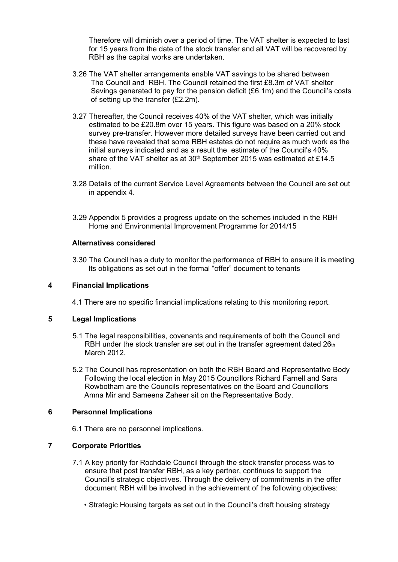Therefore will diminish over a period of time. The VAT shelter is expected to last for 15 years from the date of the stock transfer and all VAT will be recovered by RBH as the capital works are undertaken.

- 3.26 The VAT shelter arrangements enable VAT savings to be shared between The Council and RBH. The Council retained the first £8.3m of VAT shelter Savings generated to pay for the pension deficit (£6.1m) and the Council's costs of setting up the transfer (£2.2m).
- 3.27 Thereafter, the Council receives 40% of the VAT shelter, which was initially estimated to be £20.8m over 15 years. This figure was based on a 20% stock survey pre-transfer. However more detailed surveys have been carried out and these have revealed that some RBH estates do not require as much work as the initial surveys indicated and as a result the estimate of the Council's 40% share of the VAT shelter as at 30<sup>th</sup> September 2015 was estimated at £14.5 million.
- 3.28 Details of the current Service Level Agreements between the Council are set out in appendix 4.
- 3.29 Appendix 5 provides a progress update on the schemes included in the RBH Home and Environmental Improvement Programme for 2014/15

## **Alternatives considered**

 3.30 The Council has a duty to monitor the performance of RBH to ensure it is meeting Its obligations as set out in the formal "offer" document to tenants

## **4 Financial Implications**

4.1 There are no specific financial implications relating to this monitoring report.

## **5 Legal Implications**

- 5.1 The legal responsibilities, covenants and requirements of both the Council and RBH under the stock transfer are set out in the transfer agreement dated  $26<sub>th</sub>$ March 2012.
- 5.2 The Council has representation on both the RBH Board and Representative Body Following the local election in May 2015 Councillors Richard Farnell and Sara Rowbotham are the Councils representatives on the Board and Councillors Amna Mir and Sameena Zaheer sit on the Representative Body.

## **6 Personnel Implications**

6.1 There are no personnel implications.

# **7 Corporate Priorities**

- 7.1 A key priority for Rochdale Council through the stock transfer process was to ensure that post transfer RBH, as a key partner, continues to support the Council's strategic objectives. Through the delivery of commitments in the offer document RBH will be involved in the achievement of the following objectives:
	- Strategic Housing targets as set out in the Council's draft housing strategy